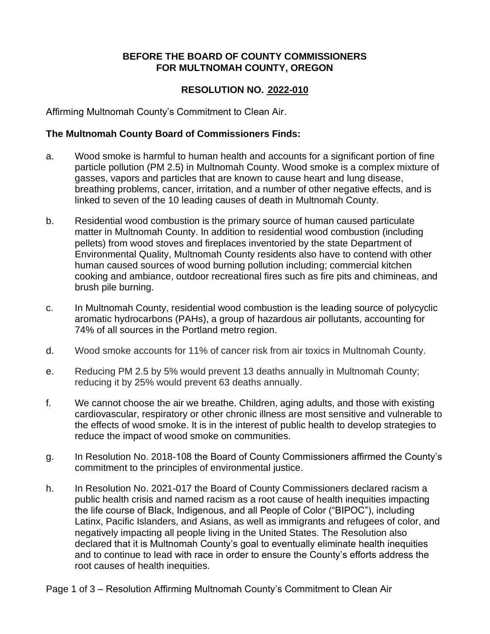## **BEFORE THE BOARD OF COUNTY COMMISSIONERS FOR MULTNOMAH COUNTY, OREGON**

## **RESOLUTION NO. 2022-010**

Affirming Multnomah County's Commitment to Clean Air.

## **The Multnomah County Board of Commissioners Finds:**

- a. Wood smoke is harmful to human health and accounts for a significant portion of fine particle pollution (PM 2.5) in Multnomah County. Wood smoke is a complex mixture of gasses, vapors and particles that are known to cause heart and lung disease, breathing problems, cancer, irritation, and a number of other negative effects, and is linked to seven of the 10 leading causes of death in Multnomah County.
- b. Residential wood combustion is the primary source of human caused particulate matter in Multnomah County. In addition to residential wood combustion (including pellets) from wood stoves and fireplaces inventoried by the state Department of Environmental Quality, Multnomah County residents also have to contend with other human caused sources of wood burning pollution including; commercial kitchen cooking and ambiance, outdoor recreational fires such as fire pits and chimineas, and brush pile burning.
- c. In Multnomah County, residential wood combustion is the leading source of polycyclic aromatic hydrocarbons (PAHs), a group of hazardous air pollutants, accounting for 74% of all sources in the Portland metro region.
- d. Wood smoke accounts for 11% of cancer risk from air toxics in Multnomah County.
- e. Reducing PM 2.5 by 5% would prevent 13 deaths annually in Multnomah County; reducing it by 25% would prevent 63 deaths annually.
- f. We cannot choose the air we breathe. Children, aging adults, and those with existing cardiovascular, respiratory or other chronic illness are most sensitive and vulnerable to the effects of wood smoke. It is in the interest of public health to develop strategies to reduce the impact of wood smoke on communities.
- g. In Resolution No. 2018-108 the Board of County Commissioners affirmed the County's commitment to the principles of environmental justice.
- h. In Resolution No. 2021-017 the Board of County Commissioners declared racism a public health crisis and named racism as a root cause of health inequities impacting the life course of Black, Indigenous, and all People of Color ("BIPOC"), including Latinx, Pacific Islanders, and Asians, as well as immigrants and refugees of color, and negatively impacting all people living in the United States. The Resolution also declared that it is Multnomah County's goal to eventually eliminate health inequities and to continue to lead with race in order to ensure the County's efforts address the root causes of health inequities.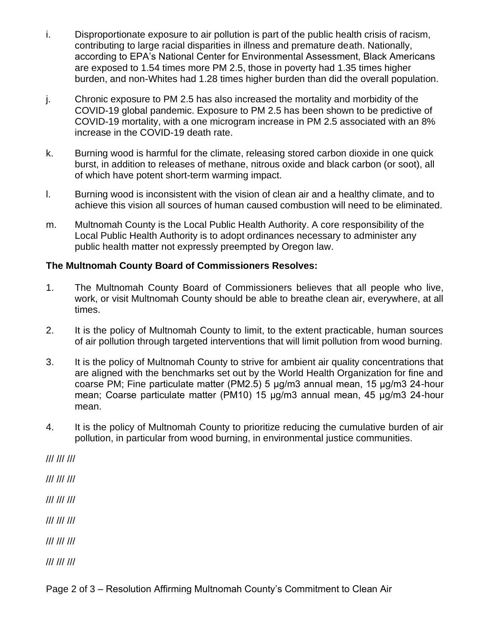- i. Disproportionate exposure to air pollution is part of the public health crisis of racism, contributing to large racial disparities in illness and premature death. Nationally, according to EPA's National Center for Environmental Assessment, Black Americans are exposed to 1.54 times more PM 2.5, those in poverty had 1.35 times higher burden, and non-Whites had 1.28 times higher burden than did the overall population.
- j. Chronic exposure to PM 2.5 has also increased the mortality and morbidity of the COVID-19 global pandemic. Exposure to PM 2.5 has been shown to be predictive of COVID-19 mortality, with a one microgram increase in PM 2.5 associated with an 8% increase in the COVID-19 death rate.
- k. Burning wood is harmful for the climate, releasing stored carbon dioxide in one quick burst, in addition to releases of methane, nitrous oxide and black carbon (or soot), all of which have potent short-term warming impact.
- l. Burning wood is inconsistent with the vision of clean air and a healthy climate, and to achieve this vision all sources of human caused combustion will need to be eliminated.
- m. Multnomah County is the Local Public Health Authority. A core responsibility of the Local Public Health Authority is to adopt ordinances necessary to administer any public health matter not expressly preempted by Oregon law.

## **The Multnomah County Board of Commissioners Resolves:**

- 1. The Multnomah County Board of Commissioners believes that all people who live, work, or visit Multnomah County should be able to breathe clean air, everywhere, at all times.
- 2. It is the policy of Multnomah County to limit, to the extent practicable, human sources of air pollution through targeted interventions that will limit pollution from wood burning.
- 3. It is the policy of Multnomah County to strive for ambient air quality concentrations that are aligned with the benchmarks set out by the World Health Organization for fine and coarse PM; Fine particulate matter (PM2.5) 5 μg/m3 annual mean, 15 μg/m3 24-hour mean; Coarse particulate matter (PM10) 15 μg/m3 annual mean, 45 μg/m3 24-hour mean.
- 4. It is the policy of Multnomah County to prioritize reducing the cumulative burden of air pollution, in particular from wood burning, in environmental justice communities.

/// /// ///

/// /// ///

/// /// ///

/// /// ///

/// /// ///

/// /// ///